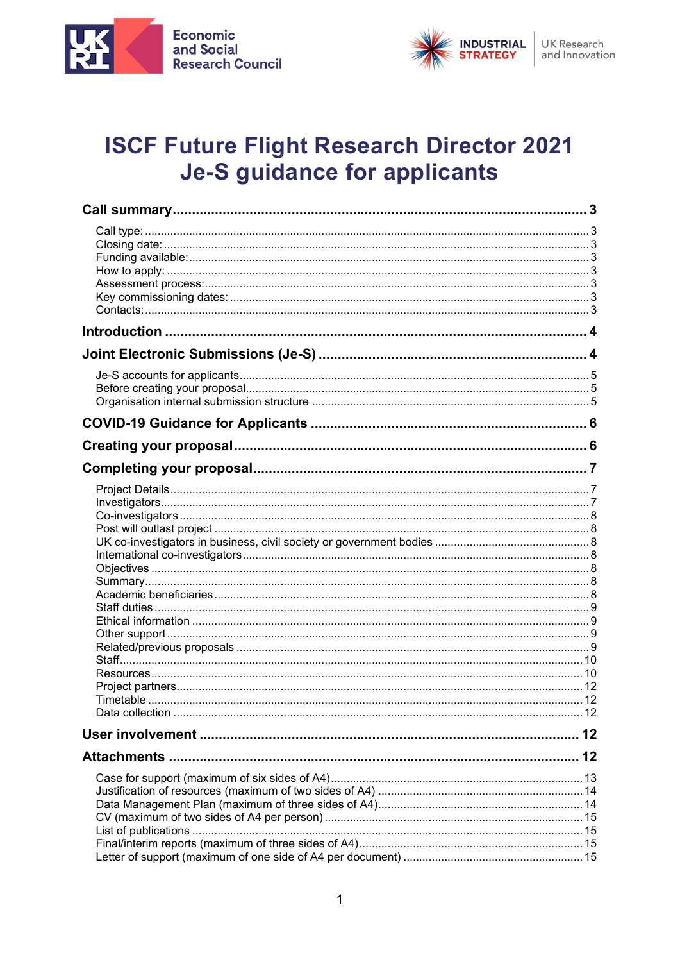



# **ISCF Future Flight Research Director 2021 Je-S guidance for applicants**

| 12 |
|----|
| 12 |
|    |
|    |
|    |
|    |
|    |
|    |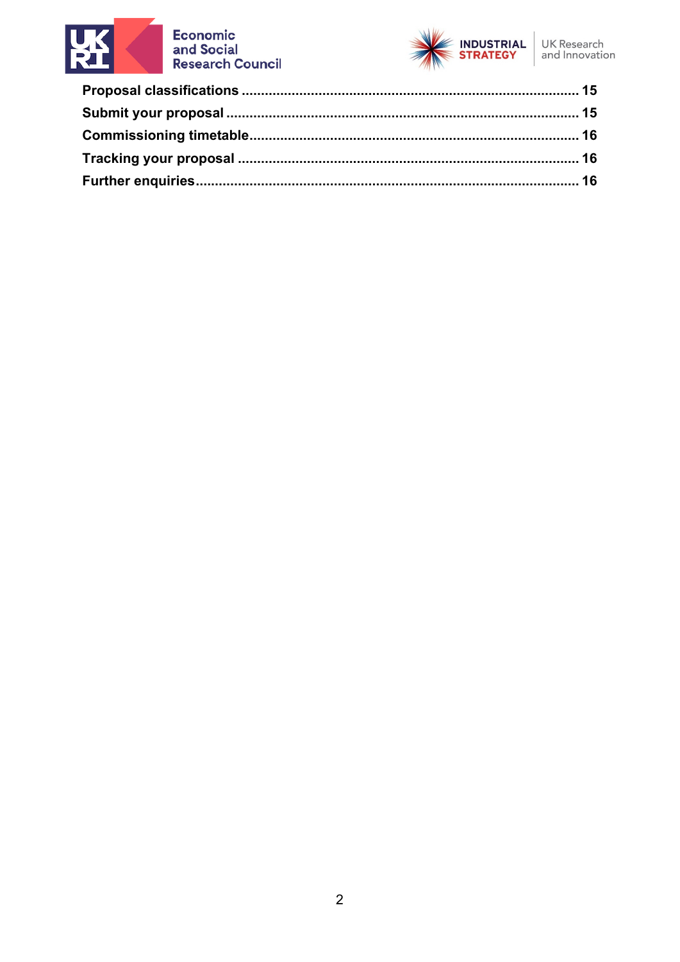

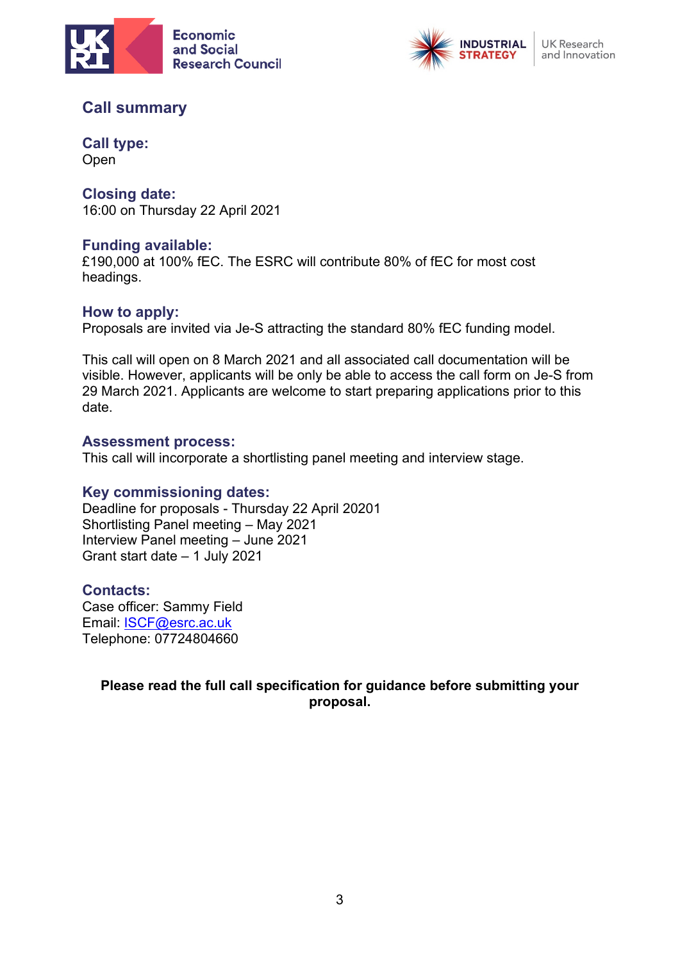



## <span id="page-2-0"></span>**Call summary**

<span id="page-2-1"></span>**Call type:** Open

<span id="page-2-2"></span>**Closing date:** 16:00 on Thursday 22 April 2021

#### <span id="page-2-3"></span>**Funding available:**

£190,000 at 100% fEC. The ESRC will contribute 80% of fEC for most cost headings.

#### <span id="page-2-4"></span>**How to apply:**

Proposals are invited via Je-S attracting the standard 80% fEC funding model.

This call will open on 8 March 2021 and all associated call documentation will be visible. However, applicants will be only be able to access the call form on Je-S from 29 March 2021. Applicants are welcome to start preparing applications prior to this date.

#### <span id="page-2-5"></span>**Assessment process:**

This call will incorporate a shortlisting panel meeting and interview stage.

#### <span id="page-2-6"></span>**Key commissioning dates:**

Deadline for proposals - Thursday 22 April 20201 Shortlisting Panel meeting – May 2021 Interview Panel meeting – June 2021 Grant start date – 1 July 2021

#### <span id="page-2-7"></span>**Contacts:**

Case officer: Sammy Field Email: [ISCF@esrc.ac.uk](mailto:ISCF@esrc.ac.uk) Telephone: 07724804660

#### **Please read the full call specification for guidance before submitting your proposal.**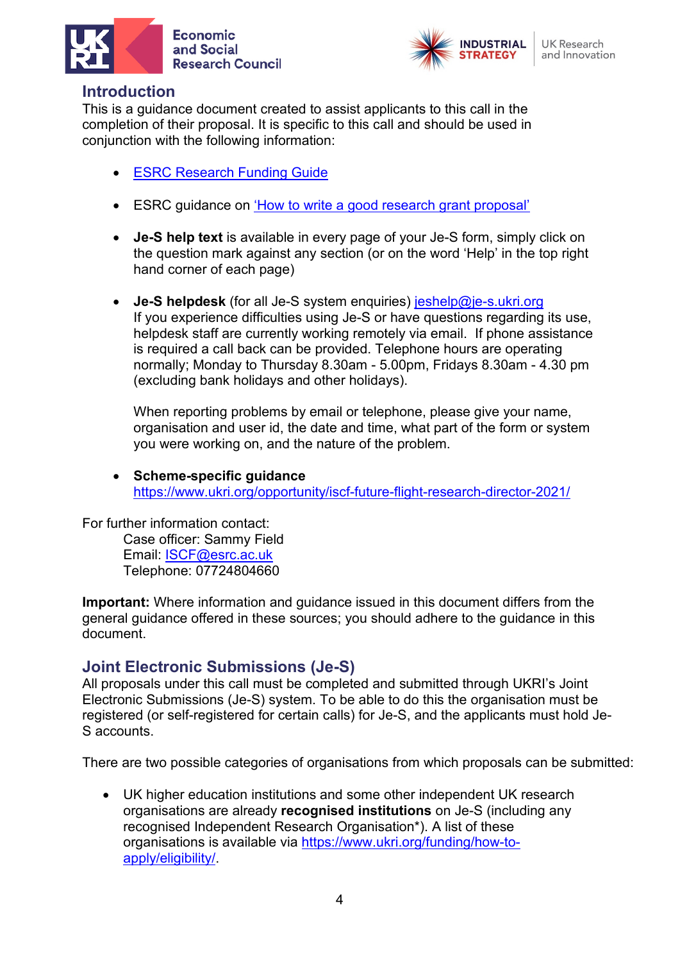



## <span id="page-3-0"></span>**Introduction**

This is a guidance document created to assist applicants to this call in the completion of their proposal. It is specific to this call and should be used in conjunction with the following information:

- **[ESRC Research Funding Guide](https://esrc.ukri.org/funding/guidance-for-applicants/research-funding-guide/)**
- ESRC guidance on 'How to write a [good research grant proposal'](https://esrc.ukri.org/funding/guidance-for-applicants/how-to-write-a-good-research-grant-proposal/)
- **Je-S help text** is available in every page of your Je-S form, simply click on the question mark against any section (or on the word 'Help' in the top right hand corner of each page)
- **Je-S helpdesk** (for all Je-S system enquiries) [jeshelp@je-s.ukri.org](mailto:jeshelp@je-s.ukri.org) If you experience difficulties using Je-S or have questions regarding its use, helpdesk staff are currently working remotely via email. If phone assistance is required a call back can be provided. Telephone hours are operating normally; Monday to Thursday 8.30am - 5.00pm, Fridays 8.30am - 4.30 pm (excluding bank holidays and other holidays).

When reporting problems by email or telephone, please give your name, organisation and user id, the date and time, what part of the form or system you were working on, and the nature of the problem.

• **Scheme-specific guidance** <https://www.ukri.org/opportunity/iscf-future-flight-research-director-2021/>

For further information contact: Case officer: Sammy Field

Email: [ISCF@esrc.ac.uk](mailto:ISCF@esrc.ac.uk) Telephone: 07724804660

**Important:** Where information and guidance issued in this document differs from the general guidance offered in these sources; you should adhere to the guidance in this document.

## <span id="page-3-1"></span>**Joint Electronic Submissions (Je-S)**

All proposals under this call must be completed and submitted through UKRI's Joint Electronic Submissions (Je-S) system. To be able to do this the organisation must be registered (or self-registered for certain calls) for Je-S, and the applicants must hold Je-S accounts.

There are two possible categories of organisations from which proposals can be submitted:

• UK higher education institutions and some other independent UK research organisations are already **recognised institutions** on Je-S (including any recognised Independent Research Organisation\*). A list of these organisations is available via [https://www.ukri.org/funding/how-to](https://www.ukri.org/funding/how-to-apply/eligibility/)[apply/eligibility/.](https://www.ukri.org/funding/how-to-apply/eligibility/)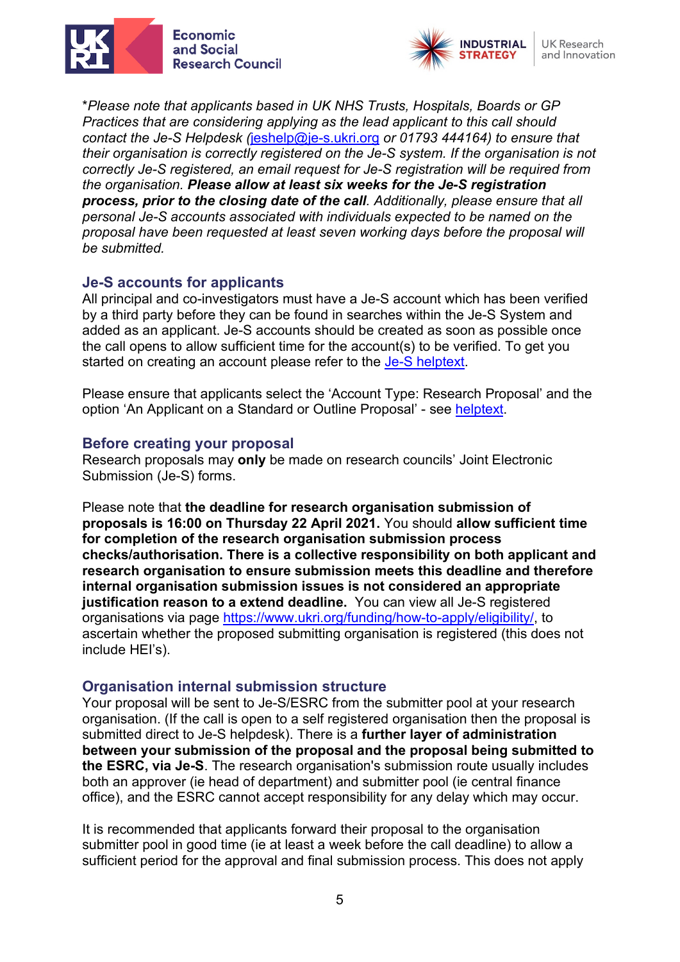



\**Please note that applicants based in UK NHS Trusts, Hospitals, Boards or GP Practices that are considering applying as the lead applicant to this call should contact the Je-S Helpdesk (*[jeshelp@je-s.ukri.org](mailto:jeshelp@je-s.ukri.org) *or 01793 444164) to ensure that their organisation is correctly registered on the Je-S system. If the organisation is not correctly Je-S registered, an email request for Je-S registration will be required from the organisation. Please allow at least six weeks for the Je-S registration process, prior to the closing date of the call. Additionally, please ensure that all personal Je-S accounts associated with individuals expected to be named on the proposal have been requested at least seven working days before the proposal will be submitted.*

#### <span id="page-4-0"></span>**Je-S accounts for applicants**

All principal and co-investigators must have a Je-S account which has been verified by a third party before they can be found in searches within the Je-S System and added as an applicant. Je-S accounts should be created as soon as possible once the call opens to allow sufficient time for the account(s) to be verified. To get you started on creating an account please refer to the [Je-S helptext.](https://je-s.rcuk.ac.uk/Handbook/pages/SettingupaJeSaccount/SettingupaJeSaccount.htm)

Please ensure that applicants select the 'Account Type: Research Proposal' and the option 'An Applicant on a Standard or Outline Proposal' - see [helptext.](https://je-s.rcuk.ac.uk/Handbook/pages/SettingupaJeSaccount/SettingupaJeSaccount.htm)

#### <span id="page-4-1"></span>**Before creating your proposal**

Research proposals may **only** be made on research councils' Joint Electronic Submission (Je-S) forms.

Please note that **the deadline for research organisation submission of proposals is 16:00 on Thursday 22 April 2021.** You should **allow sufficient time for completion of the research organisation submission process checks/authorisation. There is a collective responsibility on both applicant and research organisation to ensure submission meets this deadline and therefore internal organisation submission issues is not considered an appropriate justification reason to a extend deadline.** You can view all Je-S registered organisations via page [https://www.ukri.org/funding/how-to-apply/eligibility/,](https://www.ukri.org/funding/how-to-apply/eligibility/) to ascertain whether the proposed submitting organisation is registered (this does not include HEI's).

#### <span id="page-4-2"></span>**Organisation internal submission structure**

Your proposal will be sent to Je-S/ESRC from the submitter pool at your research organisation. (If the call is open to a self registered organisation then the proposal is submitted direct to Je-S helpdesk). There is a **further layer of administration between your submission of the proposal and the proposal being submitted to the ESRC, via Je-S**. The research organisation's submission route usually includes both an approver (ie head of department) and submitter pool (ie central finance office), and the ESRC cannot accept responsibility for any delay which may occur.

It is recommended that applicants forward their proposal to the organisation submitter pool in good time (ie at least a week before the call deadline) to allow a sufficient period for the approval and final submission process. This does not apply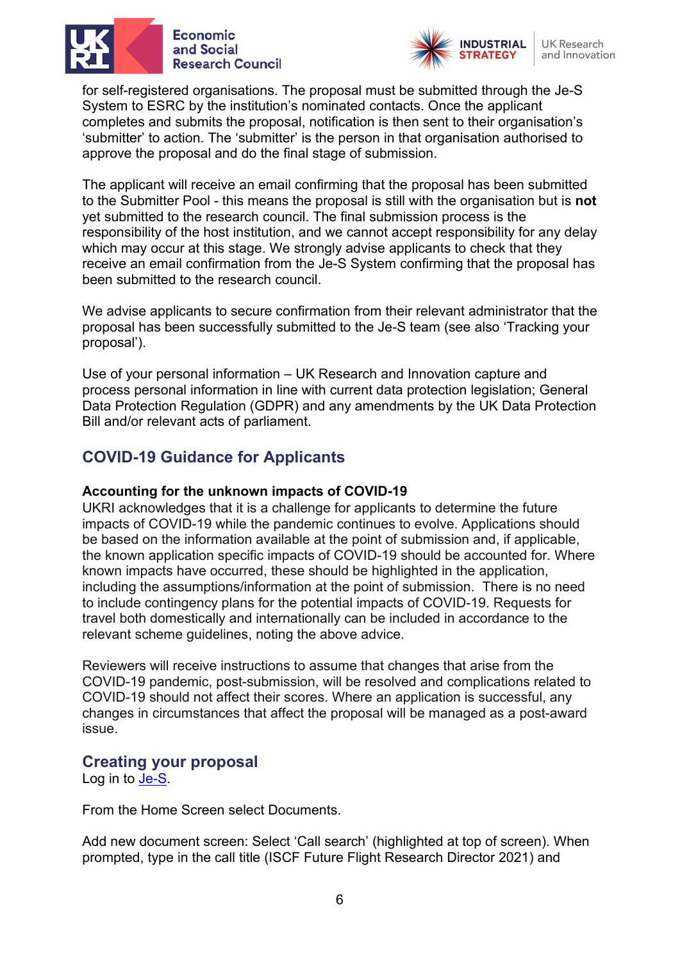



for self-registered organisations. The proposal must be submitted through the Je-S System to ESRC by the institution's nominated contacts. Once the applicant completes and submits the proposal, notification is then sent to their organisation's 'submitter' to action. The 'submitter' is the person in that organisation authorised to approve the proposal and do the final stage of submission.

The applicant will receive an email confirming that the proposal has been submitted to the Submitter Pool - this means the proposal is still with the organisation but is **not** yet submitted to the research council. The final submission process is the responsibility of the host institution, and we cannot accept responsibility for any delay which may occur at this stage. We strongly advise applicants to check that they receive an email confirmation from the Je-S System confirming that the proposal has been submitted to the research council.

We advise applicants to secure confirmation from their relevant administrator that the proposal has been successfully submitted to the Je-S team (see also 'Tracking your proposal').

Use of your personal information – UK Research and Innovation capture and process personal information in line with current data protection legislation; General Data Protection Regulation (GDPR) and any amendments by the UK Data Protection Bill and/or relevant acts of parliament.

## <span id="page-5-0"></span>**COVID-19 Guidance for Applicants**

#### **Accounting for the unknown impacts of COVID-19**

UKRI acknowledges that it is a challenge for applicants to determine the future impacts of COVID-19 while the pandemic continues to evolve. Applications should be based on the information available at the point of submission and, if applicable, the known application specific impacts of COVID-19 should be accounted for. Where known impacts have occurred, these should be highlighted in the application, including the assumptions/information at the point of submission. There is no need to include contingency plans for the potential impacts of COVID-19. Requests for travel both domestically and internationally can be included in accordance to the relevant scheme guidelines, noting the above advice.

Reviewers will receive instructions to assume that changes that arise from the COVID-19 pandemic, post-submission, will be resolved and complications related to COVID-19 should not affect their scores. Where an application is successful, any changes in circumstances that affect the proposal will be managed as a post-award issue.

#### <span id="page-5-1"></span>**Creating your proposal**

Log in to [Je-S.](https://je-s.rcuk.ac.uk/JeS2WebLoginSite/Login.aspx)

From the Home Screen select Documents.

Add new document screen: Select 'Call search' (highlighted at top of screen). When prompted, type in the call title (ISCF Future Flight Research Director 2021) and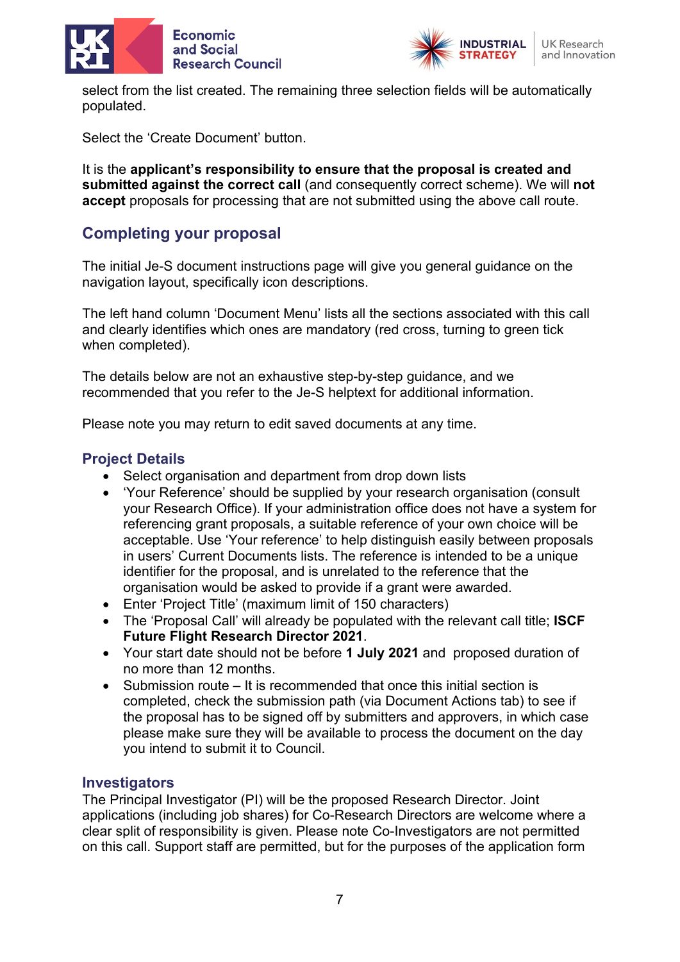





select from the list created. The remaining three selection fields will be automatically populated.

Select the 'Create Document' button.

It is the **applicant's responsibility to ensure that the proposal is created and submitted against the correct call** (and consequently correct scheme). We will **not accept** proposals for processing that are not submitted using the above call route.

# <span id="page-6-0"></span>**Completing your proposal**

The initial Je-S document instructions page will give you general guidance on the navigation layout, specifically icon descriptions.

The left hand column 'Document Menu' lists all the sections associated with this call and clearly identifies which ones are mandatory (red cross, turning to green tick when completed).

The details below are not an exhaustive step-by-step guidance, and we recommended that you refer to the Je-S helptext for additional information.

Please note you may return to edit saved documents at any time.

## <span id="page-6-1"></span>**Project Details**

- Select organisation and department from drop down lists
- 'Your Reference' should be supplied by your research organisation (consult your Research Office). If your administration office does not have a system for referencing grant proposals, a suitable reference of your own choice will be acceptable. Use 'Your reference' to help distinguish easily between proposals in users' Current Documents lists. The reference is intended to be a unique identifier for the proposal, and is unrelated to the reference that the organisation would be asked to provide if a grant were awarded.
- Enter 'Project Title' (maximum limit of 150 characters)
- The 'Proposal Call' will already be populated with the relevant call title; **ISCF Future Flight Research Director 2021**.
- Your start date should not be before **1 July 2021** and proposed duration of no more than 12 months.
- Submission route It is recommended that once this initial section is completed, check the submission path (via Document Actions tab) to see if the proposal has to be signed off by submitters and approvers, in which case please make sure they will be available to process the document on the day you intend to submit it to Council.

#### <span id="page-6-2"></span>**Investigators**

The Principal Investigator (PI) will be the proposed Research Director. Joint applications (including job shares) for Co-Research Directors are welcome where a clear split of responsibility is given. Please note Co-Investigators are not permitted on this call. Support staff are permitted, but for the purposes of the application form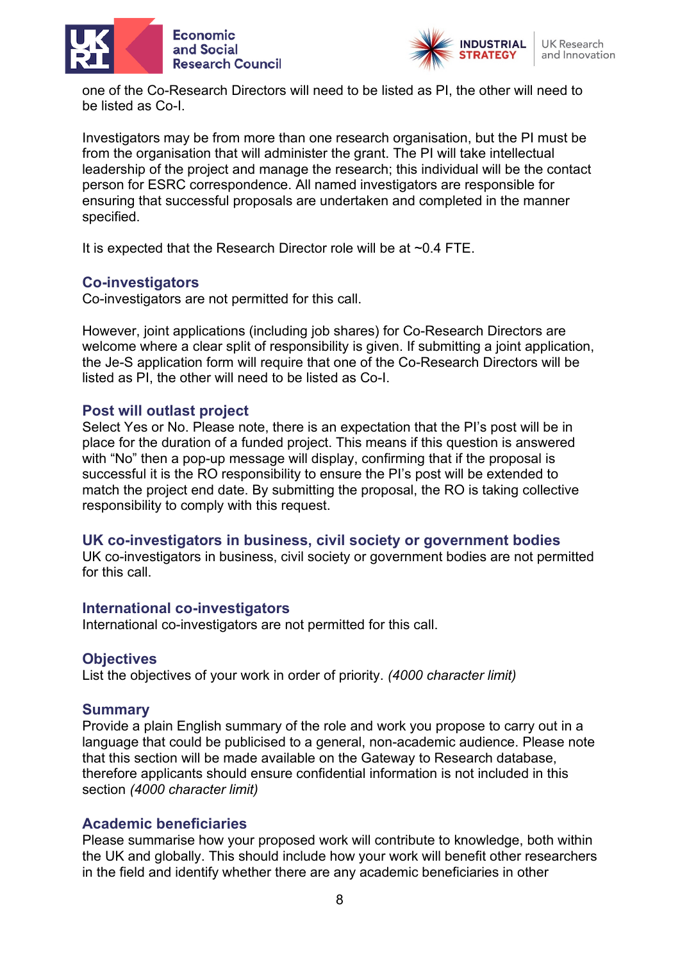



one of the Co-Research Directors will need to be listed as PI, the other will need to be listed as Co-I.

Investigators may be from more than one research organisation, but the PI must be from the organisation that will administer the grant. The PI will take intellectual leadership of the project and manage the research; this individual will be the contact person for ESRC correspondence. All named investigators are responsible for ensuring that successful proposals are undertaken and completed in the manner specified.

It is expected that the Research Director role will be at ~0.4 FTE.

## <span id="page-7-0"></span>**Co-investigators**

Co-investigators are not permitted for this call.

However, joint applications (including job shares) for Co-Research Directors are welcome where a clear split of responsibility is given. If submitting a joint application, the Je-S application form will require that one of the Co-Research Directors will be listed as PI, the other will need to be listed as Co-I.

## <span id="page-7-1"></span>**Post will outlast project**

Select Yes or No. Please note, there is an expectation that the PI's post will be in place for the duration of a funded project. This means if this question is answered with "No" then a pop-up message will display, confirming that if the proposal is successful it is the RO responsibility to ensure the PI's post will be extended to match the project end date. By submitting the proposal, the RO is taking collective responsibility to comply with this request.

#### <span id="page-7-2"></span>**UK co-investigators in business, civil society or government bodies**

UK co-investigators in business, civil society or government bodies are not permitted for this call.

#### <span id="page-7-3"></span>**International co-investigators**

International co-investigators are not permitted for this call.

#### <span id="page-7-4"></span>**Objectives**

List the objectives of your work in order of priority. *(4000 character limit)*

#### <span id="page-7-5"></span>**Summary**

Provide a plain English summary of the role and work you propose to carry out in a language that could be publicised to a general, non-academic audience. Please note that this section will be made available on the Gateway to Research database, therefore applicants should ensure confidential information is not included in this section *(4000 character limit)*

#### <span id="page-7-6"></span>**Academic beneficiaries**

Please summarise how your proposed work will contribute to knowledge, both within the UK and globally. This should include how your work will benefit other researchers in the field and identify whether there are any academic beneficiaries in other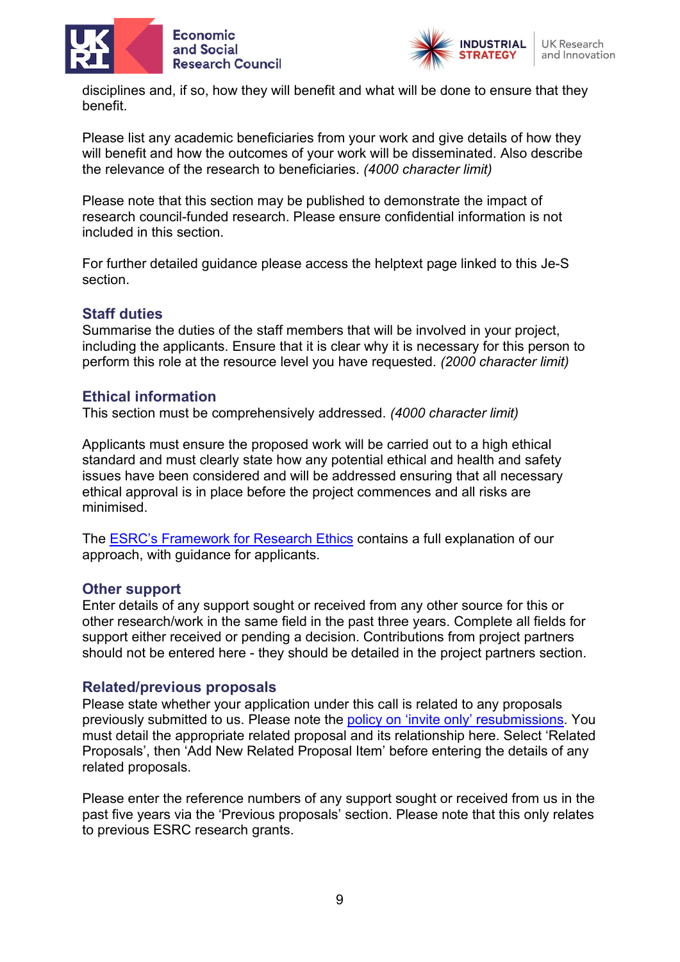



disciplines and, if so, how they will benefit and what will be done to ensure that they benefit.

Please list any academic beneficiaries from your work and give details of how they will benefit and how the outcomes of your work will be disseminated. Also describe the relevance of the research to beneficiaries. *(4000 character limit)*

Please note that this section may be published to demonstrate the impact of research council-funded research. Please ensure confidential information is not included in this section.

For further detailed guidance please access the helptext page linked to this Je-S section.

#### <span id="page-8-0"></span>**Staff duties**

Summarise the duties of the staff members that will be involved in your project, including the applicants. Ensure that it is clear why it is necessary for this person to perform this role at the resource level you have requested. *(2000 character limit)*

#### <span id="page-8-1"></span>**Ethical information**

This section must be comprehensively addressed. *(4000 character limit)*

Applicants must ensure the proposed work will be carried out to a high ethical standard and must clearly state how any potential ethical and health and safety issues have been considered and will be addressed ensuring that all necessary ethical approval is in place before the project commences and all risks are minimised.

The [ESRC's Framework for Research](https://esrc.ukri.org/funding/guidance-for-applicants/research-ethics/) Ethics contains a full explanation of our approach, with guidance for applicants.

#### <span id="page-8-2"></span>**Other support**

Enter details of any support sought or received from any other source for this or other research/work in the same field in the past three years. Complete all fields for support either received or pending a decision. Contributions from project partners should not be entered here - they should be detailed in the project partners section.

#### <span id="page-8-3"></span>**Related/previous proposals**

Please state whether your application under this call is related to any proposals previously submitted to us. Please note the [policy on 'invite only' resubmissions.](https://esrc.ukri.org/funding/guidance-for-applicants/resubmissions-policy/) You must detail the appropriate related proposal and its relationship here. Select 'Related Proposals', then 'Add New Related Proposal Item' before entering the details of any related proposals.

Please enter the reference numbers of any support sought or received from us in the past five years via the 'Previous proposals' section. Please note that this only relates to previous ESRC research grants.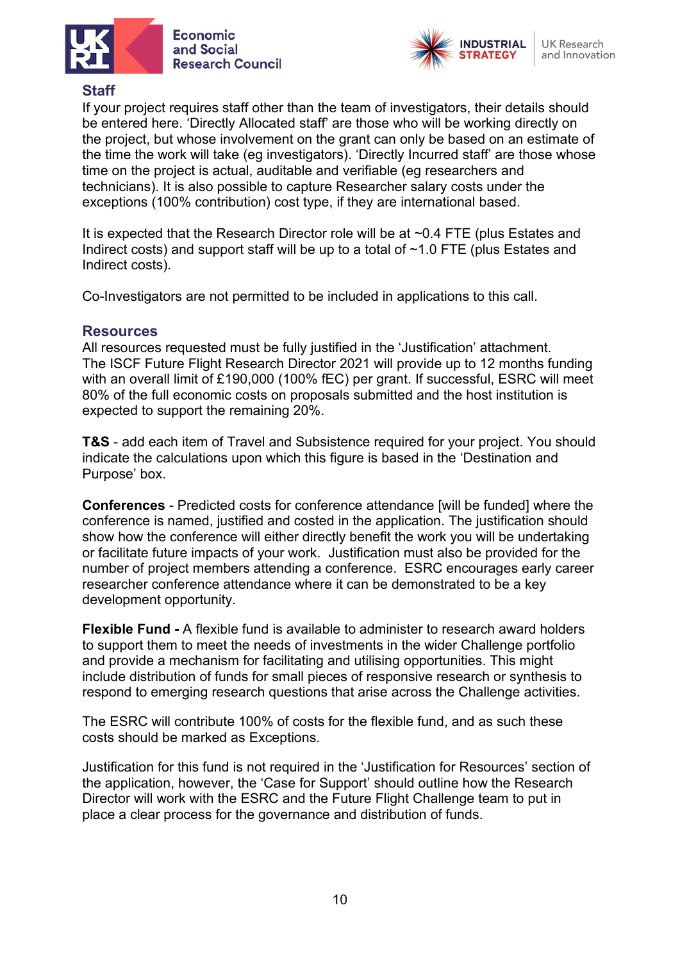



## <span id="page-9-0"></span>**Staff**

If your project requires staff other than the team of investigators, their details should be entered here. 'Directly Allocated staff' are those who will be working directly on the project, but whose involvement on the grant can only be based on an estimate of the time the work will take (eg investigators). 'Directly Incurred staff' are those whose time on the project is actual, auditable and verifiable (eg researchers and technicians). It is also possible to capture Researcher salary costs under the exceptions (100% contribution) cost type, if they are international based.

It is expected that the Research Director role will be at ~0.4 FTE (plus Estates and Indirect costs) and support staff will be up to a total of  $\sim$ 1.0 FTE (plus Estates and Indirect costs).

Co-Investigators are not permitted to be included in applications to this call.

#### <span id="page-9-1"></span>**Resources**

All resources requested must be fully justified in the 'Justification' attachment. The ISCF Future Flight Research Director 2021 will provide up to 12 months funding with an overall limit of £190,000 (100% fEC) per grant. If successful, ESRC will meet 80% of the full economic costs on proposals submitted and the host institution is expected to support the remaining 20%.

**T&S** - add each item of Travel and Subsistence required for your project. You should indicate the calculations upon which this figure is based in the 'Destination and Purpose' box.

**Conferences** - Predicted costs for conference attendance [will be funded] where the conference is named, justified and costed in the application. The justification should show how the conference will either directly benefit the work you will be undertaking or facilitate future impacts of your work. Justification must also be provided for the number of project members attending a conference. ESRC encourages early career researcher conference attendance where it can be demonstrated to be a key development opportunity.

**Flexible Fund -** A flexible fund is available to administer to research award holders to support them to meet the needs of investments in the wider Challenge portfolio and provide a mechanism for facilitating and utilising opportunities. This might include distribution of funds for small pieces of responsive research or synthesis to respond to emerging research questions that arise across the Challenge activities.

The ESRC will contribute 100% of costs for the flexible fund, and as such these costs should be marked as Exceptions.

Justification for this fund is not required in the 'Justification for Resources' section of the application, however, the 'Case for Support' should outline how the Research Director will work with the ESRC and the Future Flight Challenge team to put in place a clear process for the governance and distribution of funds.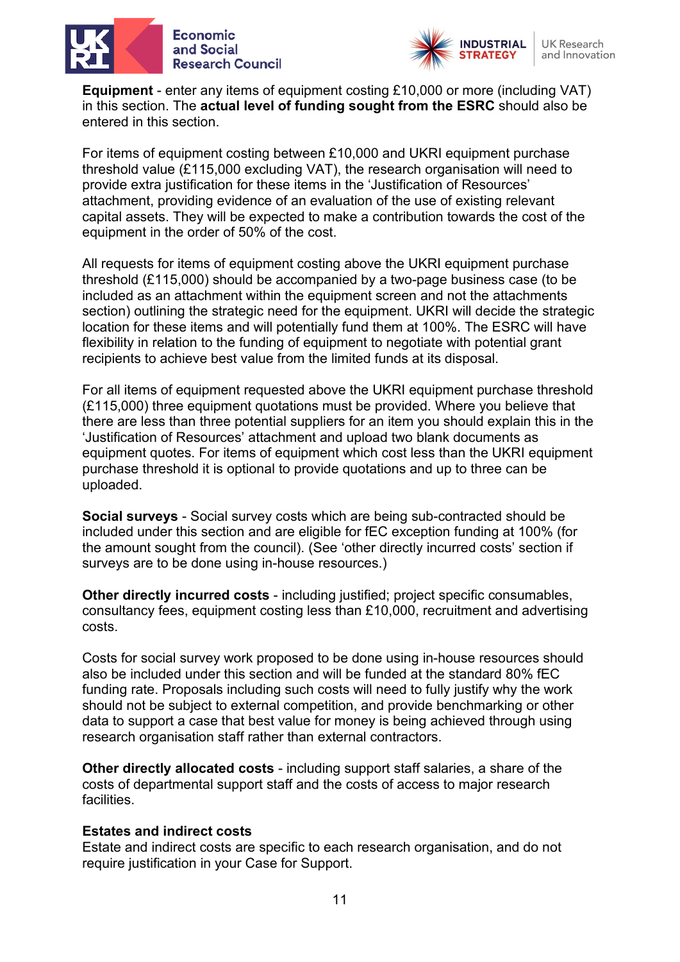



**Equipment** - enter any items of equipment costing £10,000 or more (including VAT) in this section. The **actual level of funding sought from the ESRC** should also be entered in this section.

For items of equipment costing between £10,000 and UKRI equipment purchase threshold value (£115,000 excluding VAT), the research organisation will need to provide extra justification for these items in the 'Justification of Resources' attachment, providing evidence of an evaluation of the use of existing relevant capital assets. They will be expected to make a contribution towards the cost of the equipment in the order of 50% of the cost.

All requests for items of equipment costing above the UKRI equipment purchase threshold (£115,000) should be accompanied by a two-page business case (to be included as an attachment within the equipment screen and not the attachments section) outlining the strategic need for the equipment. UKRI will decide the strategic location for these items and will potentially fund them at 100%. The ESRC will have flexibility in relation to the funding of equipment to negotiate with potential grant recipients to achieve best value from the limited funds at its disposal.

For all items of equipment requested above the UKRI equipment purchase threshold (£115,000) three equipment quotations must be provided. Where you believe that there are less than three potential suppliers for an item you should explain this in the 'Justification of Resources' attachment and upload two blank documents as equipment quotes. For items of equipment which cost less than the UKRI equipment purchase threshold it is optional to provide quotations and up to three can be uploaded.

**Social surveys** - Social survey costs which are being sub-contracted should be included under this section and are eligible for fEC exception funding at 100% (for the amount sought from the council). (See 'other directly incurred costs' section if surveys are to be done using in-house resources.)

**Other directly incurred costs** - including justified; project specific consumables, consultancy fees, equipment costing less than £10,000, recruitment and advertising costs.

Costs for social survey work proposed to be done using in-house resources should also be included under this section and will be funded at the standard 80% fEC funding rate. Proposals including such costs will need to fully justify why the work should not be subject to external competition, and provide benchmarking or other data to support a case that best value for money is being achieved through using research organisation staff rather than external contractors.

**Other directly allocated costs** - including support staff salaries, a share of the costs of departmental support staff and the costs of access to major research facilities.

#### **Estates and indirect costs**

Estate and indirect costs are specific to each research organisation, and do not require justification in your Case for Support.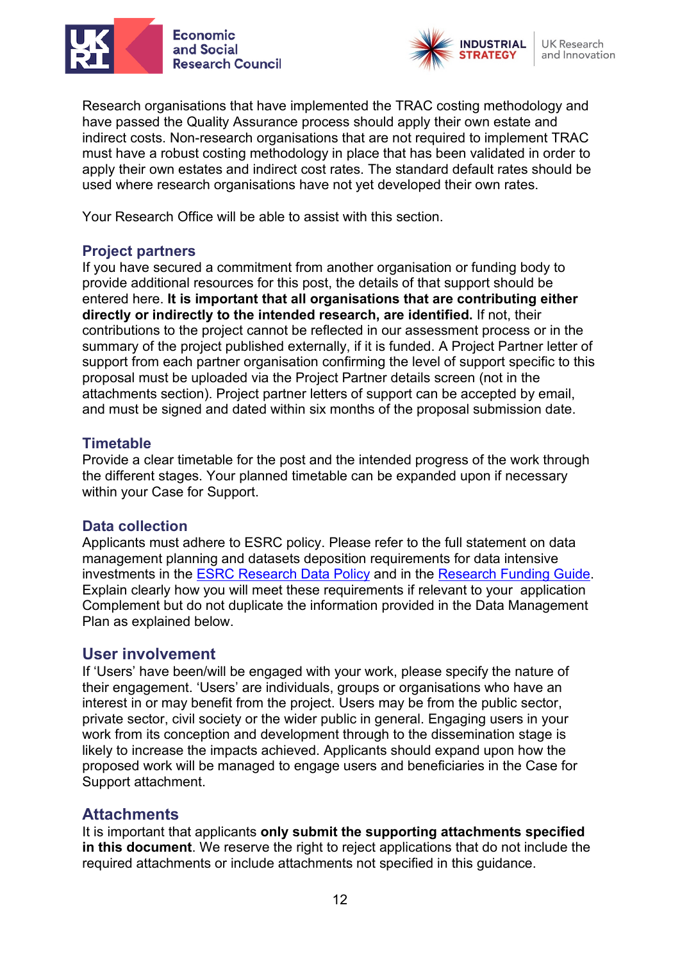



Research organisations that have implemented the TRAC costing methodology and have passed the Quality Assurance process should apply their own estate and indirect costs. Non-research organisations that are not required to implement TRAC must have a robust costing methodology in place that has been validated in order to apply their own estates and indirect cost rates. The standard default rates should be used where research organisations have not yet developed their own rates.

Your Research Office will be able to assist with this section.

## <span id="page-11-0"></span>**Project partners**

If you have secured a commitment from another organisation or funding body to provide additional resources for this post, the details of that support should be entered here. **It is important that all organisations that are contributing either directly or indirectly to the intended research, are identified.** If not, their contributions to the project cannot be reflected in our assessment process or in the summary of the project published externally, if it is funded. A Project Partner letter of support from each partner organisation confirming the level of support specific to this proposal must be uploaded via the Project Partner details screen (not in the attachments section). Project partner letters of support can be accepted by email, and must be signed and dated within six months of the proposal submission date.

#### <span id="page-11-1"></span>**Timetable**

Provide a clear timetable for the post and the intended progress of the work through the different stages. Your planned timetable can be expanded upon if necessary within your Case for Support.

#### <span id="page-11-2"></span>**Data collection**

Applicants must adhere to ESRC policy. Please refer to the full statement on data management planning and datasets deposition requirements for data intensive investments in the [ESRC Research](https://esrc.ukri.org/funding/guidance-for-grant-holders/research-data-policy/) Data Policy and in the [Research Funding](https://esrc.ukri.org/funding/guidance-for-applicants/research-funding-guide/) Guide. Explain clearly how you will meet these requirements if relevant to your application Complement but do not duplicate the information provided in the Data Management Plan as explained below.

#### <span id="page-11-3"></span>**User involvement**

If 'Users' have been/will be engaged with your work, please specify the nature of their engagement. 'Users' are individuals, groups or organisations who have an interest in or may benefit from the project. Users may be from the public sector, private sector, civil society or the wider public in general. Engaging users in your work from its conception and development through to the dissemination stage is likely to increase the impacts achieved. Applicants should expand upon how the proposed work will be managed to engage users and beneficiaries in the Case for Support attachment.

## <span id="page-11-4"></span>**Attachments**

It is important that applicants **only submit the supporting attachments specified in this document**. We reserve the right to reject applications that do not include the required attachments or include attachments not specified in this guidance.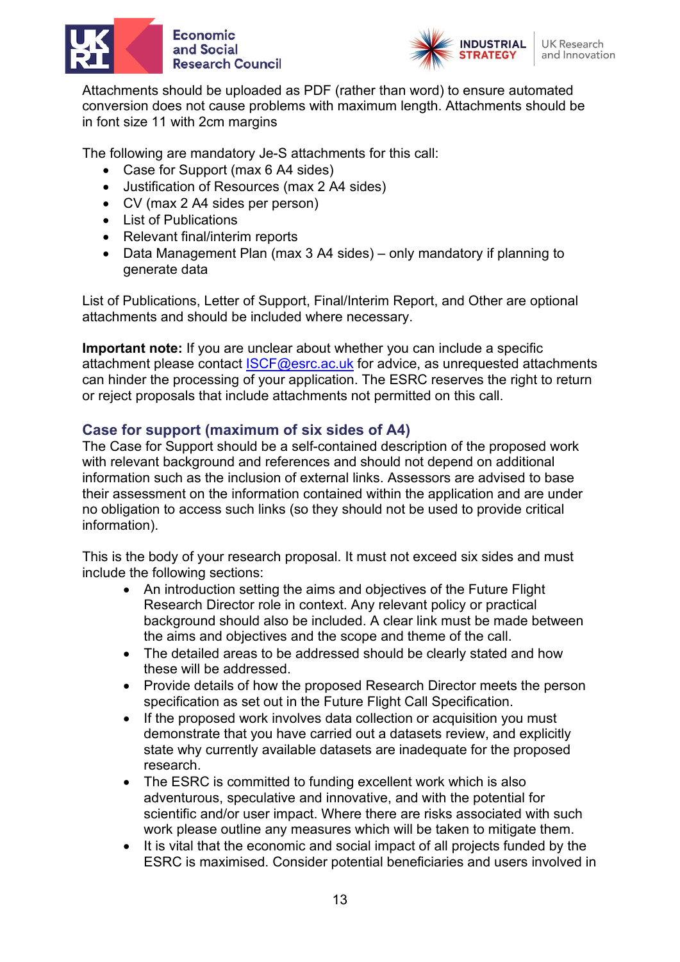



Attachments should be uploaded as PDF (rather than word) to ensure automated conversion does not cause problems with maximum length. Attachments should be in font size 11 with 2cm margins

The following are mandatory Je-S attachments for this call:

- Case for Support (max 6 A4 sides)
- Justification of Resources (max 2 A4 sides)
- CV (max 2 A4 sides per person)
- List of Publications
- Relevant final/interim reports
- Data Management Plan (max 3 A4 sides) only mandatory if planning to generate data

List of Publications, Letter of Support, Final/Interim Report, and Other are optional attachments and should be included where necessary.

**Important note:** If you are unclear about whether you can include a specific attachment please contact [ISCF@esrc.ac.uk](mailto:ISCF@esrc.ac.uk) for advice, as unrequested attachments can hinder the processing of your application. The ESRC reserves the right to return or reject proposals that include attachments not permitted on this call.

## <span id="page-12-0"></span>**Case for support (maximum of six sides of A4)**

The Case for Support should be a self-contained description of the proposed work with relevant background and references and should not depend on additional information such as the inclusion of external links. Assessors are advised to base their assessment on the information contained within the application and are under no obligation to access such links (so they should not be used to provide critical information).

This is the body of your research proposal. It must not exceed six sides and must include the following sections:

- An introduction setting the aims and objectives of the Future Flight Research Director role in context. Any relevant policy or practical background should also be included. A clear link must be made between the aims and objectives and the scope and theme of the call.
- The detailed areas to be addressed should be clearly stated and how these will be addressed.
- Provide details of how the proposed Research Director meets the person specification as set out in the Future Flight Call Specification.
- If the proposed work involves data collection or acquisition you must demonstrate that you have carried out a datasets review, and explicitly state why currently available datasets are inadequate for the proposed research.
- The ESRC is committed to funding excellent work which is also adventurous, speculative and innovative, and with the potential for scientific and/or user impact. Where there are risks associated with such work please outline any measures which will be taken to mitigate them.
- It is vital that the economic and social impact of all projects funded by the ESRC is maximised. Consider potential beneficiaries and users involved in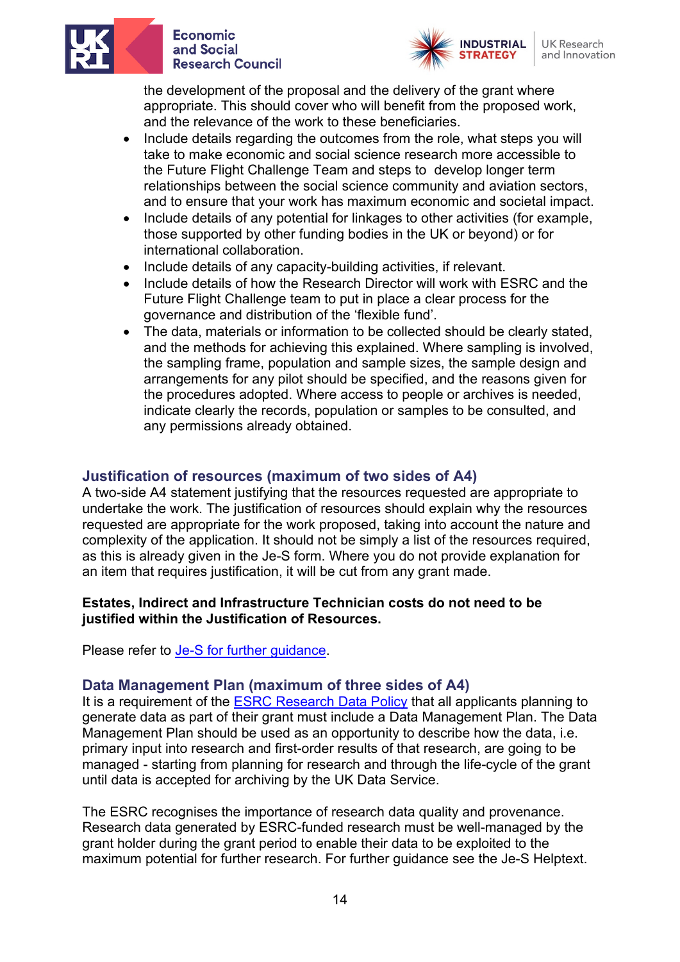



**UK Research** and Innovation

the development of the proposal and the delivery of the grant where appropriate. This should cover who will benefit from the proposed work, and the relevance of the work to these beneficiaries.

- Include details regarding the outcomes from the role, what steps you will take to make economic and social science research more accessible to the Future Flight Challenge Team and steps to develop longer term relationships between the social science community and aviation sectors, and to ensure that your work has maximum economic and societal impact.
- Include details of any potential for linkages to other activities (for example, those supported by other funding bodies in the UK or beyond) or for international collaboration.
- Include details of any capacity-building activities, if relevant.
- Include details of how the Research Director will work with ESRC and the Future Flight Challenge team to put in place a clear process for the governance and distribution of the 'flexible fund'.
- The data, materials or information to be collected should be clearly stated, and the methods for achieving this explained. Where sampling is involved, the sampling frame, population and sample sizes, the sample design and arrangements for any pilot should be specified, and the reasons given for the procedures adopted. Where access to people or archives is needed, indicate clearly the records, population or samples to be consulted, and any permissions already obtained.

## <span id="page-13-0"></span>**Justification of resources (maximum of two sides of A4)**

A two-side A4 statement justifying that the resources requested are appropriate to undertake the work. The justification of resources should explain why the resources requested are appropriate for the work proposed, taking into account the nature and complexity of the application. It should not be simply a list of the resources required, as this is already given in the Je-S form. Where you do not provide explanation for an item that requires justification, it will be cut from any grant made.

#### **Estates, Indirect and Infrastructure Technician costs do not need to be justified within the Justification of Resources.**

Please refer to [Je-S for further guidance.](https://je-s.rcuk.ac.uk/Handbook/pages/GuidanceonCompletingaStandardG/CaseforSupportandAttachments/ESRCSpecificRequirements.htm)

#### <span id="page-13-1"></span>**Data Management Plan (maximum of three sides of A4)**

It is a requirement of the [ESRC Research](https://esrc.ukri.org/funding/guidance-for-grant-holders/research-data-policy/) Data Policy that all applicants planning to generate data as part of their grant must include a Data Management Plan. The Data Management Plan should be used as an opportunity to describe how the data, i.e. primary input into research and first-order results of that research, are going to be managed - starting from planning for research and through the life-cycle of the grant until data is accepted for archiving by the UK Data Service.

The ESRC recognises the importance of research data quality and provenance. Research data generated by ESRC-funded research must be well-managed by the grant holder during the grant period to enable their data to be exploited to the maximum potential for further research. For further guidance see the Je-S Helptext.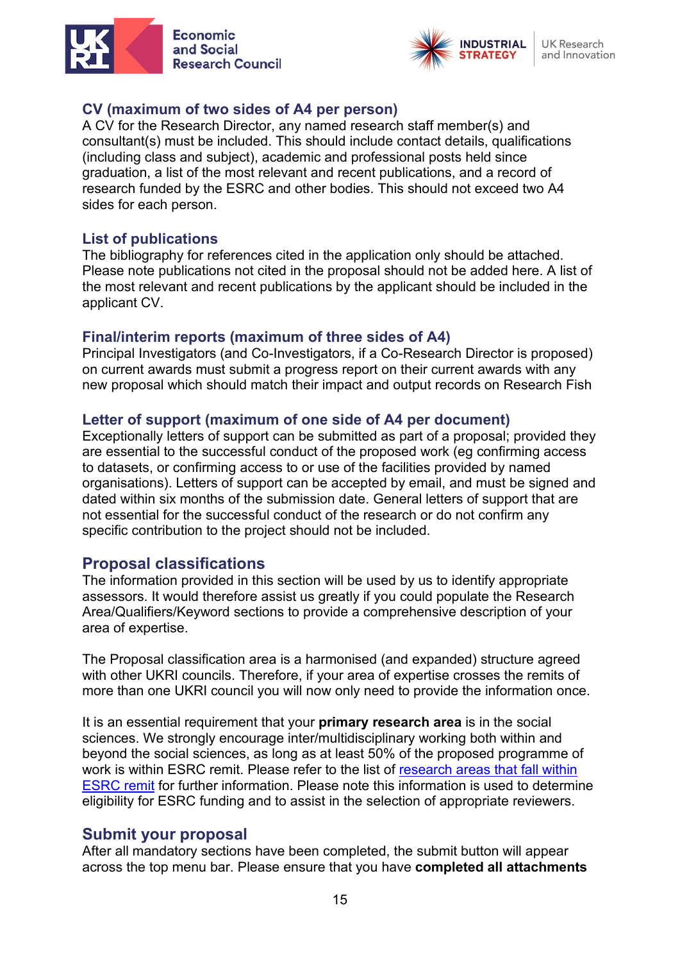



**UK Research** and Innovation

#### <span id="page-14-0"></span>**CV (maximum of two sides of A4 per person)**

A CV for the Research Director, any named research staff member(s) and consultant(s) must be included. This should include contact details, qualifications (including class and subject), academic and professional posts held since graduation, a list of the most relevant and recent publications, and a record of research funded by the ESRC and other bodies. This should not exceed two A4 sides for each person.

#### <span id="page-14-1"></span>**List of publications**

The bibliography for references cited in the application only should be attached. Please note publications not cited in the proposal should not be added here. A list of the most relevant and recent publications by the applicant should be included in the applicant CV.

#### <span id="page-14-2"></span>**Final/interim reports (maximum of three sides of A4)**

Principal Investigators (and Co-Investigators, if a Co-Research Director is proposed) on current awards must submit a progress report on their current awards with any new proposal which should match their impact and output records on Research Fish

#### <span id="page-14-3"></span>**Letter of support (maximum of one side of A4 per document)**

Exceptionally letters of support can be submitted as part of a proposal; provided they are essential to the successful conduct of the proposed work (eg confirming access to datasets, or confirming access to or use of the facilities provided by named organisations). Letters of support can be accepted by email, and must be signed and dated within six months of the submission date. General letters of support that are not essential for the successful conduct of the research or do not confirm any specific contribution to the project should not be included.

#### <span id="page-14-4"></span>**Proposal classifications**

The information provided in this section will be used by us to identify appropriate assessors. It would therefore assist us greatly if you could populate the Research Area/Qualifiers/Keyword sections to provide a comprehensive description of your area of expertise.

The Proposal classification area is a harmonised (and expanded) structure agreed with other UKRI councils. Therefore, if your area of expertise crosses the remits of more than one UKRI council you will now only need to provide the information once.

It is an essential requirement that your **primary research area** is in the social sciences. We strongly encourage inter/multidisciplinary working both within and beyond the social sciences, as long as at least 50% of the proposed programme of work is within ESRC remit. Please refer to the list of [research areas that fall within](https://esrc.ukri.org/funding/guidance-for-applicants/is-my-research-suitable-for-esrc-funding/discipline-classifications/)  [ESRC remit](https://esrc.ukri.org/funding/guidance-for-applicants/is-my-research-suitable-for-esrc-funding/discipline-classifications/) for further information. Please note this information is used to determine eligibility for ESRC funding and to assist in the selection of appropriate reviewers.

#### <span id="page-14-5"></span>**Submit your proposal**

After all mandatory sections have been completed, the submit button will appear across the top menu bar. Please ensure that you have **completed all attachments**